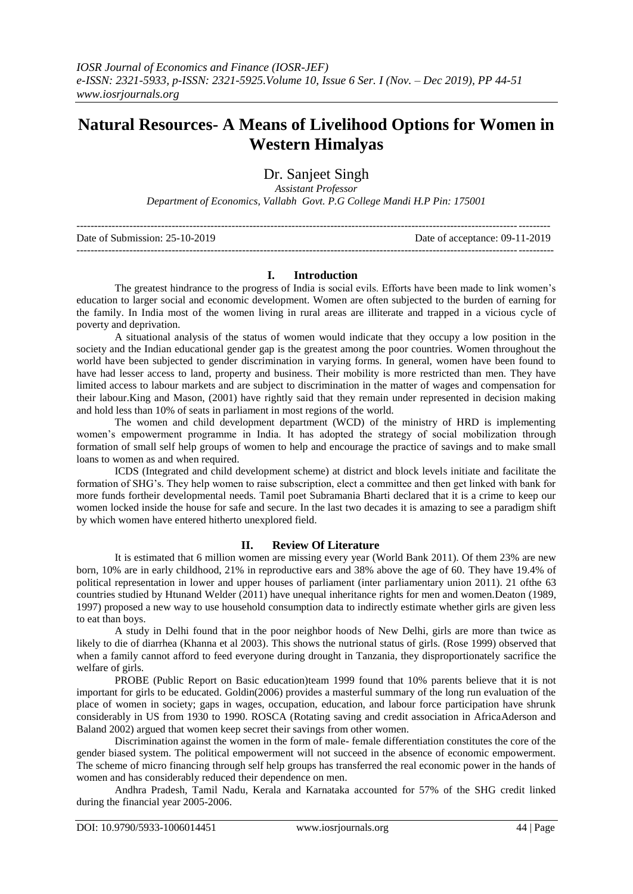# **Natural Resources- A Means of Livelihood Options for Women in Western Himalyas**

Dr. Sanjeet Singh

*Assistant Professor*

*Department of Economics, Vallabh Govt. P.G College Mandi H.P Pin: 175001*

| Date of Submission: $25-10-2019$ | Date of acceptance: 09-11-2019 |
|----------------------------------|--------------------------------|
|                                  |                                |

# **I. Introduction**

The greatest hindrance to the progress of India is social evils. Efforts have been made to link women"s education to larger social and economic development. Women are often subjected to the burden of earning for the family. In India most of the women living in rural areas are illiterate and trapped in a vicious cycle of poverty and deprivation.

A situational analysis of the status of women would indicate that they occupy a low position in the society and the Indian educational gender gap is the greatest among the poor countries. Women throughout the world have been subjected to gender discrimination in varying forms. In general, women have been found to have had lesser access to land, property and business. Their mobility is more restricted than men. They have limited access to labour markets and are subject to discrimination in the matter of wages and compensation for their labour.King and Mason, (2001) have rightly said that they remain under represented in decision making and hold less than 10% of seats in parliament in most regions of the world.

The women and child development department (WCD) of the ministry of HRD is implementing women"s empowerment programme in India. It has adopted the strategy of social mobilization through formation of small self help groups of women to help and encourage the practice of savings and to make small loans to women as and when required.

ICDS (Integrated and child development scheme) at district and block levels initiate and facilitate the formation of SHG"s. They help women to raise subscription, elect a committee and then get linked with bank for more funds fortheir developmental needs. Tamil poet Subramania Bharti declared that it is a crime to keep our women locked inside the house for safe and secure. In the last two decades it is amazing to see a paradigm shift by which women have entered hitherto unexplored field.

# **II. Review Of Literature**

It is estimated that 6 million women are missing every year (World Bank 2011). Of them 23% are new born, 10% are in early childhood, 21% in reproductive ears and 38% above the age of 60. They have 19.4% of political representation in lower and upper houses of parliament (inter parliamentary union 2011). 21 ofthe 63 countries studied by Htunand Welder (2011) have unequal inheritance rights for men and women.Deaton (1989, 1997) proposed a new way to use household consumption data to indirectly estimate whether girls are given less to eat than boys.

A study in Delhi found that in the poor neighbor hoods of New Delhi, girls are more than twice as likely to die of diarrhea (Khanna et al 2003). This shows the nutrional status of girls. (Rose 1999) observed that when a family cannot afford to feed everyone during drought in Tanzania, they disproportionately sacrifice the welfare of girls.

PROBE (Public Report on Basic education)team 1999 found that 10% parents believe that it is not important for girls to be educated. Goldin(2006) provides a masterful summary of the long run evaluation of the place of women in society; gaps in wages, occupation, education, and labour force participation have shrunk considerably in US from 1930 to 1990. ROSCA (Rotating saving and credit association in AfricaAderson and Baland 2002) argued that women keep secret their savings from other women.

Discrimination against the women in the form of male- female differentiation constitutes the core of the gender biased system. The political empowerment will not succeed in the absence of economic empowerment. The scheme of micro financing through self help groups has transferred the real economic power in the hands of women and has considerably reduced their dependence on men.

Andhra Pradesh, Tamil Nadu, Kerala and Karnataka accounted for 57% of the SHG credit linked during the financial year 2005-2006.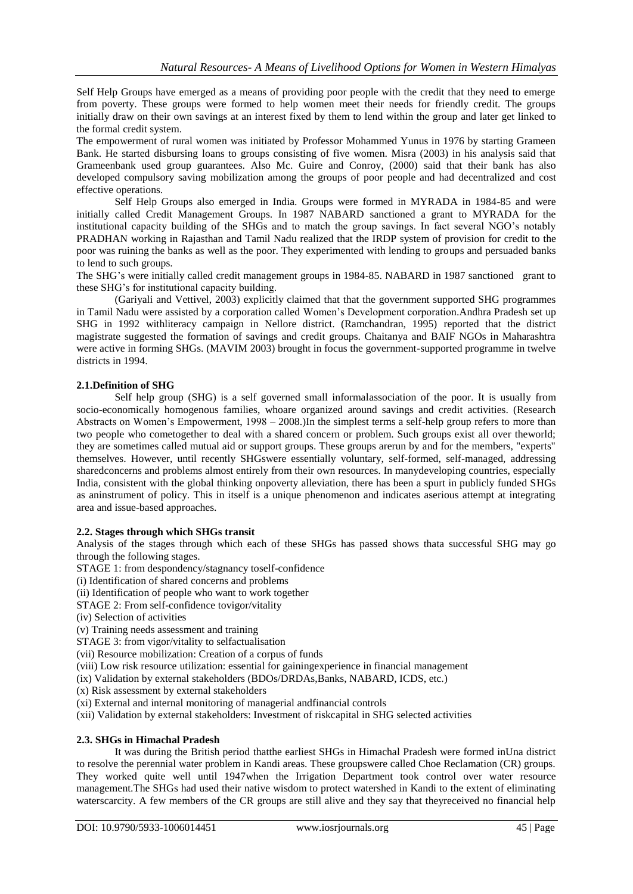Self Help Groups have emerged as a means of providing poor people with the credit that they need to emerge from poverty. These groups were formed to help women meet their needs for friendly credit. The groups initially draw on their own savings at an interest fixed by them to lend within the group and later get linked to the formal credit system.

The empowerment of rural women was initiated by Professor Mohammed Yunus in 1976 by starting Grameen Bank. He started disbursing loans to groups consisting of five women. Misra (2003) in his analysis said that Grameenbank used group guarantees. Also Mc. Guire and Conroy, (2000) said that their bank has also developed compulsory saving mobilization among the groups of poor people and had decentralized and cost effective operations.

Self Help Groups also emerged in India. Groups were formed in MYRADA in 1984-85 and were initially called Credit Management Groups. In 1987 NABARD sanctioned a grant to MYRADA for the institutional capacity building of the SHGs and to match the group savings. In fact several NGO"s notably PRADHAN working in Rajasthan and Tamil Nadu realized that the IRDP system of provision for credit to the poor was ruining the banks as well as the poor. They experimented with lending to groups and persuaded banks to lend to such groups.

The SHG"s were initially called credit management groups in 1984-85. NABARD in 1987 sanctioned grant to these SHG"s for institutional capacity building.

(Gariyali and Vettivel, 2003) explicitly claimed that that the government supported SHG programmes in Tamil Nadu were assisted by a corporation called Women"s Development corporation.Andhra Pradesh set up SHG in 1992 withliteracy campaign in Nellore district. (Ramchandran, 1995) reported that the district magistrate suggested the formation of savings and credit groups. Chaitanya and BAIF NGOs in Maharashtra were active in forming SHGs. (MAVIM 2003) brought in focus the government-supported programme in twelve districts in 1994.

### **2.1.Definition of SHG**

Self help group (SHG) is a self governed small informalassociation of the poor. It is usually from socio-economically homogenous families, whoare organized around savings and credit activities. (Research Abstracts on Women"s Empowerment, 1998 – 2008.)In the simplest terms a self-help group refers to more than two people who cometogether to deal with a shared concern or problem. Such groups exist all over theworld; they are sometimes called mutual aid or support groups. These groups arerun by and for the members, "experts" themselves. However, until recently SHGswere essentially voluntary, self-formed, self-managed, addressing sharedconcerns and problems almost entirely from their own resources. In manydeveloping countries, especially India, consistent with the global thinking onpoverty alleviation, there has been a spurt in publicly funded SHGs as aninstrument of policy. This in itself is a unique phenomenon and indicates aserious attempt at integrating area and issue-based approaches.

#### **2.2. Stages through which SHGs transit**

Analysis of the stages through which each of these SHGs has passed shows thata successful SHG may go through the following stages.

STAGE 1: from despondency/stagnancy toself-confidence

(i) Identification of shared concerns and problems

(ii) Identification of people who want to work together

STAGE 2: From self-confidence tovigor/vitality

(iv) Selection of activities

(v) Training needs assessment and training

STAGE 3: from vigor/vitality to selfactualisation

(vii) Resource mobilization: Creation of a corpus of funds

(viii) Low risk resource utilization: essential for gainingexperience in financial management

(ix) Validation by external stakeholders (BDOs/DRDAs,Banks, NABARD, ICDS, etc.)

(x) Risk assessment by external stakeholders

(xi) External and internal monitoring of managerial andfinancial controls

(xii) Validation by external stakeholders: Investment of riskcapital in SHG selected activities

# **2.3. SHGs in Himachal Pradesh**

It was during the British period thatthe earliest SHGs in Himachal Pradesh were formed inUna district to resolve the perennial water problem in Kandi areas. These groupswere called Choe Reclamation (CR) groups. They worked quite well until 1947when the Irrigation Department took control over water resource management.The SHGs had used their native wisdom to protect watershed in Kandi to the extent of eliminating waterscarcity. A few members of the CR groups are still alive and they say that theyreceived no financial help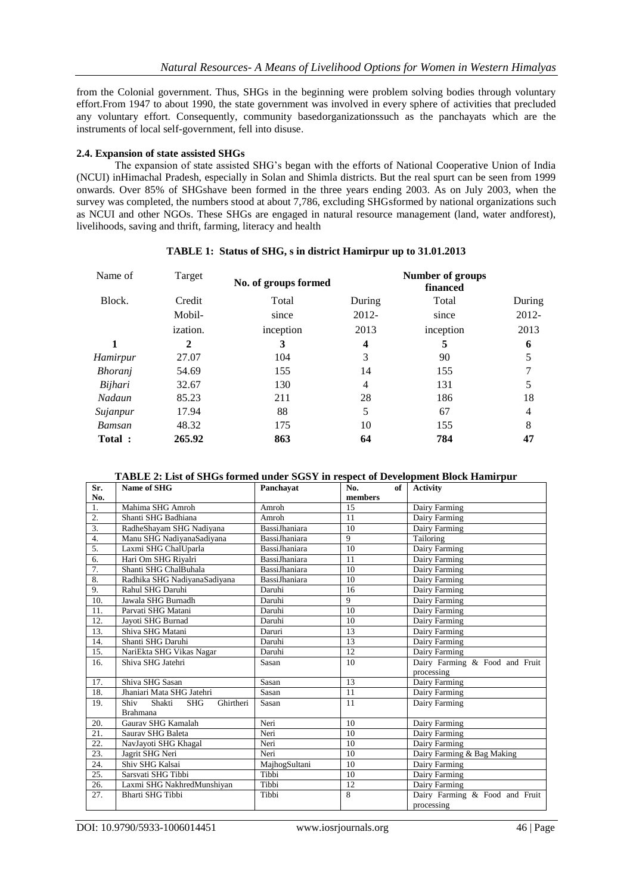from the Colonial government. Thus, SHGs in the beginning were problem solving bodies through voluntary effort.From 1947 to about 1990, the state government was involved in every sphere of activities that precluded any voluntary effort. Consequently, community basedorganizationssuch as the panchayats which are the instruments of local self-government, fell into disuse.

### **2.4. Expansion of state assisted SHGs**

The expansion of state assisted SHG"s began with the efforts of National Cooperative Union of India (NCUI) inHimachal Pradesh, especially in Solan and Shimla districts. But the real spurt can be seen from 1999 onwards. Over 85% of SHGshave been formed in the three years ending 2003. As on July 2003, when the survey was completed, the numbers stood at about 7,786, excluding SHGsformed by national organizations such as NCUI and other NGOs. These SHGs are engaged in natural resource management (land, water andforest), livelihoods, saving and thrift, farming, literacy and health

| Name of        | Target          | No. of groups formed |        | Number of groups<br>financed |        |
|----------------|-----------------|----------------------|--------|------------------------------|--------|
| Block.         | Credit          | Total                | During | Total                        | During |
|                | Mobil-          | since                | 2012-  | since                        | 2012-  |
|                | <i>ization.</i> | inception            | 2013   | inception                    | 2013   |
|                | 2               | 3                    | 4      | 5                            | 6      |
| Hamirpur       | 27.07           | 104                  | 3      | 90                           | 5      |
| <i>Bhoranj</i> | 54.69           | 155                  | 14     | 155                          |        |
| Bijhari        | 32.67           | 130                  | 4      | 131                          | 5      |
| Nadaun         | 85.23           | 211                  | 28     | 186                          | 18     |
| Sujanpur       | 17.94           | 88                   | 5      | 67                           | 4      |
| Bamsan         | 48.32           | 175                  | 10     | 155                          | 8      |
| Total:         | 265.92          | 863                  | 64     | 784                          | 47     |

# **TABLE 1: Status of SHG, s in district Hamirpur up to 31.01.2013**

#### **TABLE 2: List of SHGs formed under SGSY in respect of Development Block Hamirpur**

| Sr. | <b>Name of SHG</b>                        | Panchavat            | of<br>No.       | <b>Activity</b>                |
|-----|-------------------------------------------|----------------------|-----------------|--------------------------------|
| No. |                                           |                      | members         |                                |
| 1.  | Mahima SHG Amroh                          | Amroh                | 15              | Dairy Farming                  |
| 2.  | Shanti SHG Badhiana                       | Amroh                | 11              | Dairy Farming                  |
| 3.  | RadheShayam SHG Nadiyana                  | <b>BassiJhaniara</b> | 10              | Dairy Farming                  |
| 4.  | Manu SHG NadiyanaSadiyana                 | <b>BassiJhaniara</b> | 9               | Tailoring                      |
| 5.  | Laxmi SHG ChalUparla                      | BassiJhaniara        | 10              | Dairy Farming                  |
| 6.  | Hari Om SHG Riyalri                       | BassiJhaniara        | 11              | Dairy Farming                  |
| 7.  | Shanti SHG ChalBuhala                     | BassiJhaniara        | 10              | Dairy Farming                  |
| 8.  | Radhika SHG NadiyanaSadiyana              | BassiJhaniara        | 10              | Dairy Farming                  |
| 9.  | Rahul SHG Daruhi                          | Daruhi               | 16              | Dairy Farming                  |
| 10. | Jawala SHG Burnadh                        | Daruhi               | 9               | Dairy Farming                  |
| 11. | Parvati SHG Matani                        | Daruhi               | 10              | Dairy Farming                  |
| 12. | Jayoti SHG Burnad                         | Daruhi               | 10              | Dairy Farming                  |
| 13. | Shiva SHG Matani                          | Daruri               | 13              | Dairy Farming                  |
| 14. | Shanti SHG Daruhi                         | Daruhi               | 13              | Dairy Farming                  |
| 15. | NariEkta SHG Vikas Nagar                  | Daruhi               | $\overline{12}$ | Dairy Farming                  |
| 16. | Shiva SHG Jatehri                         | Sasan                | 10              | Dairy Farming & Food and Fruit |
|     |                                           |                      |                 | processing                     |
| 17. | Shiva SHG Sasan                           | Sasan                | 13              | Dairy Farming                  |
| 18. | Jhaniari Mata SHG Jatehri                 | Sasan                | 11              | Dairy Farming                  |
| 19. | Shiv<br>Shakti<br>Ghirtheri<br><b>SHG</b> | Sasan                | 11              | Dairy Farming                  |
|     | <b>Brahmana</b>                           |                      |                 |                                |
| 20. | Gauray SHG Kamalah                        | Neri                 | 10              | Dairy Farming                  |
| 21. | Saurav SHG Baleta                         | Neri                 | 10              | Dairy Farming                  |
| 22. | NavJayoti SHG Khagal                      | Neri                 | 10              | Dairy Farming                  |
| 23. | Jagrit SHG Neri                           | Neri                 | 10              | Dairy Farming & Bag Making     |
| 24. | Shiv SHG Kalsai                           | MajhogSultani        | 10              | Dairy Farming                  |
| 25. | Sarsvati SHG Tibbi                        | Tibbi                | 10              | Dairy Farming                  |
| 26. | Laxmi SHG NakhredMunshiyan                | Tibbi                | 12              | Dairy Farming                  |
| 27. | <b>Bharti SHG Tibbi</b>                   | Tibbi                | 8               | Dairy Farming & Food and Fruit |
|     |                                           |                      |                 | processing                     |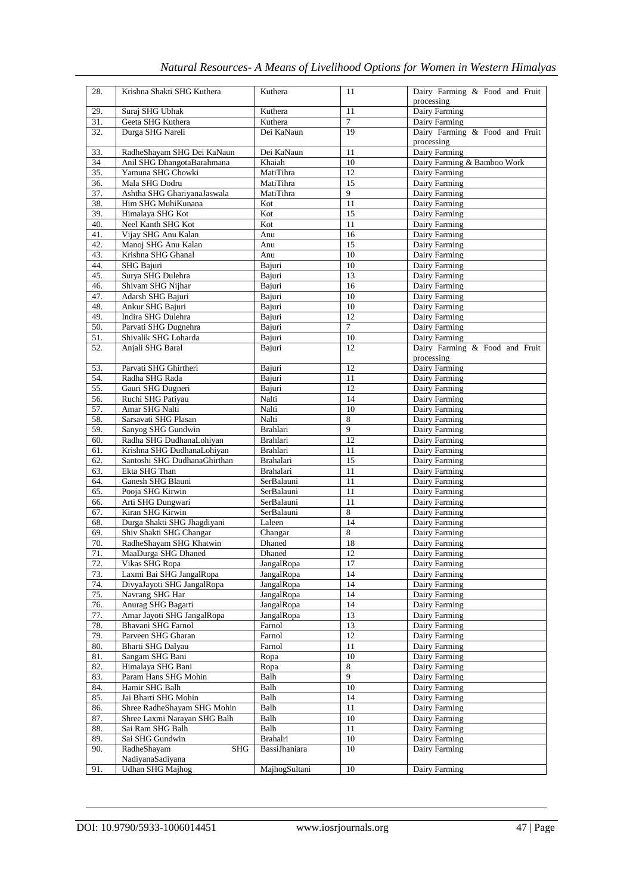| Natural Resources- A Means of Livelihood Options for Women in Western Himalyas |  |  |
|--------------------------------------------------------------------------------|--|--|

| 28.        | Krishna Shakti SHG Kuthera                       | Kuthera                  | 11             | Dairy Farming & Food and Fruit |
|------------|--------------------------------------------------|--------------------------|----------------|--------------------------------|
| 29.        | Suraj SHG Ubhak                                  | Kuthera                  | 11             | processing<br>Dairy Farming    |
| 31.        | Geeta SHG Kuthera                                | Kuthera                  | $\tau$         | Dairy Farming                  |
| 32.        | Durga SHG Nareli                                 | Dei KaNaun               | 19             | Dairy Farming & Food and Fruit |
|            |                                                  |                          |                | processing                     |
| 33.        | RadheShayam SHG Dei KaNaun                       | Dei KaNaun               | 11             | Dairy Farming                  |
| 34         | Anil SHG DhangotaBarahmana                       | Khaiah                   | 10             | Dairy Farming & Bamboo Work    |
| 35.        | Yamuna SHG Chowki                                | MatiTihra                | 12             | Dairy Farming                  |
| 36.        | Mala SHG Dodru                                   | MatiTihra                | 15             | Dairy Farming                  |
| 37.        | Ashtha SHG GhariyanaJaswala                      | MatiTihra                | 9              | Dairy Farming                  |
| 38.<br>39. | Him SHG MuhiKunana<br>Himalaya SHG Kot           | Kot<br>Kot               | 11<br>15       | Dairy Farming<br>Dairy Farming |
| 40.        | Neel Kanth SHG Kot                               | Kot                      | 11             | Dairy Farming                  |
| 41.        | Vijay SHG Anu Kalan                              | Anu                      | 16             | Dairy Farming                  |
| 42.        | Manoj SHG Anu Kalan                              | Anu                      | 15             | Dairy Farming                  |
| 43.        | Krishna SHG Ghanal                               | Anu                      | 10             | Dairy Farming                  |
| 44.        | SHG Bajuri                                       | Bajuri                   | 10             | Dairy Farming                  |
| 45.        | Surya SHG Dulehra                                | Bajuri                   | 13             | Dairy Farming                  |
| 46.        | Shivam SHG Nijhar                                | Bajuri                   | 16             | Dairy Farming                  |
| 47.        | Adarsh SHG Bajuri                                | Bajuri                   | 10             | Dairy Farming                  |
| 48.<br>49. | Ankur SHG Bajuri                                 | Bajuri                   | 10<br>12       | Dairy Farming                  |
| 50.        | Indira SHG Dulehra<br>Parvati SHG Dugnehra       | Bajuri<br>Bajuri         | 7              | Dairy Farming<br>Dairy Farming |
| 51.        | Shivalik SHG Loharda                             | Bajuri                   | 10             | Dairy Farming                  |
| 52.        | Anjali SHG Baral                                 | Bajuri                   | 12             | Dairy Farming & Food and Fruit |
|            |                                                  |                          |                | processing                     |
| 53.        | Parvati SHG Ghirtheri                            | Bajuri                   | 12             | Dairy Farming                  |
| 54.        | Radha SHG Rada                                   | Bajuri                   | 11             | Dairy Farming                  |
| 55.        | Gauri SHG Dugneri                                | Bajuri                   | 12             | Dairy Farming                  |
| 56.        | Ruchi SHG Patiyau                                | Nalti                    | 14             | Dairy Farming                  |
| 57.        | Amar SHG Nalti                                   | Nalti                    | 10             | Dairy Farming                  |
| 58.<br>59. | Sarsavati SHG Plasan<br>Sanyog SHG Gundwin       | Nalti<br><b>Brahlari</b> | 8<br>9         | Dairy Farming<br>Dairy Farming |
| 60.        | Radha SHG DudhanaLohiyan                         | Brahlari                 | 12             | Dairy Farming                  |
| 61.        | Krishna SHG DudhanaLohiyan                       | Brahlari                 | 11             | Dairy Farming                  |
| 62.        | Santoshi SHG DudhanaGhirthan                     | Brahalari                | 15             | Dairy Farming                  |
| 63.        | Ekta SHG Than                                    | <b>Brahalari</b>         | 11             | Dairy Farming                  |
| 64.        | Ganesh SHG Blauni                                | SerBalauni               | 11             | Dairy Farming                  |
| 65.        | Pooja SHG Kirwin                                 | SerBalauni               | 11             | Dairy Farming                  |
| 66.        | Arti SHG Dungwari                                | SerBalauni<br>SerBalauni | 11<br>8        | Dairy Farming                  |
| 67.<br>68. | Kiran SHG Kirwin<br>Durga Shakti SHG Jhagdiyani  | Laleen                   | 14             | Dairy Farming<br>Dairy Farming |
| 69.        | Shiv Shakti SHG Changar                          | Changar                  | $\,8\,$        | Dairy Farming                  |
| 70.        | RadheShayam SHG Khatwin                          | Dhaned                   | 18             | Dairy Farming                  |
| 71.        | MaaDurga SHG Dhaned                              | Dhaned                   | 12             | Dairy Farming                  |
| 72.        | Vikas SHG Ropa                                   | JangalRopa               | 17             | Dairy Farming                  |
| 73.        | Laxmi Bai SHG JangalRopa                         | JangalRopa               | 14             | Dairy Farming                  |
| 74.        | DivyaJayoti SHG JangalRopa                       | JangalRopa               | 14             | Dairy Farming                  |
| 75.        | Navrang SHG Har                                  | JangalRopa               | 14             | Dairy Farming                  |
| 76.<br>77. | Anurag SHG Bagarti<br>Amar Jayoti SHG JangalRopa | JangalRopa<br>JangalRopa | 14<br>13       | Dairy Farming<br>Dairy Farming |
| 78.        | Bhavani SHG Farnol                               | Farnol                   | 13             | Dairy Farming                  |
| 79.        | Parveen SHG Gharan                               | Farnol                   | 12             | Dairy Farming                  |
| 80.        | Bharti SHG Dalyau                                | Farnol                   | 11             | Dairy Farming                  |
| 81.        | Sangam SHG Bani                                  | Ropa                     | 10             | Dairy Farming                  |
| 82.        | Himalaya SHG Bani                                | Ropa                     | $\overline{8}$ | Dairy Farming                  |
| 83.        | Param Hans SHG Mohin                             | Balh                     | $\overline{9}$ | Dairy Farming                  |
| 84.        | Hamir SHG Balh                                   | Balh                     | 10             | Dairy Farming                  |
| 85.        | Jai Bharti SHG Mohin                             | <b>Balh</b>              | 14             | Dairy Farming                  |
| 86.        | Shree RadheShayam SHG Mohin                      | Balh                     | 11             | Dairy Farming                  |
| 87.<br>88. | Shree Laxmi Narayan SHG Balh<br>Sai Ram SHG Balh | Balh<br>Balh             | $10\,$<br>11   | Dairy Farming<br>Dairy Farming |
| 89.        | Sai SHG Gundwin                                  | Brahalri                 | 10             | Dairy Farming                  |
| 90.        | RadheShayam<br><b>SHG</b>                        | BassiJhaniara            | 10             | Dairy Farming                  |
|            | NadiyanaSadiyana                                 |                          |                |                                |
| 91.        | <b>Udhan SHG Majhog</b>                          | MajhogSultani            | 10             | Dairy Farming                  |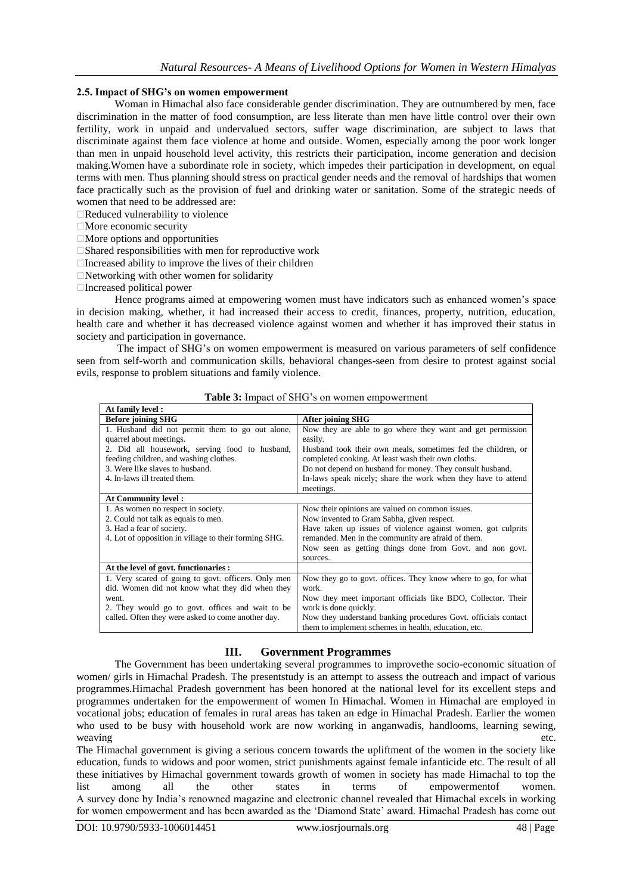## **2.5. Impact of SHG's on women empowerment**

Woman in Himachal also face considerable gender discrimination. They are outnumbered by men, face discrimination in the matter of food consumption, are less literate than men have little control over their own fertility, work in unpaid and undervalued sectors, suffer wage discrimination, are subject to laws that discriminate against them face violence at home and outside. Women, especially among the poor work longer than men in unpaid household level activity, this restricts their participation, income generation and decision making.Women have a subordinate role in society, which impedes their participation in development, on equal terms with men. Thus planning should stress on practical gender needs and the removal of hardships that women face practically such as the provision of fuel and drinking water or sanitation. Some of the strategic needs of women that need to be addressed are:

Reduced vulnerability to violence

More economic security

 $\Box$ More options and opportunities

 $\square$ Shared responsibilities with men for reproductive work

 $\Box$  Increased ability to improve the lives of their children

Networking with other women for solidarity

Increased political power

Hence programs aimed at empowering women must have indicators such as enhanced women"s space in decision making, whether, it had increased their access to credit, finances, property, nutrition, education, health care and whether it has decreased violence against women and whether it has improved their status in society and participation in governance.

The impact of SHG"s on women empowerment is measured on various parameters of self confidence seen from self-worth and communication skills, behavioral changes-seen from desire to protest against social evils, response to problem situations and family violence.

| At family level:                                      |                                                                |
|-------------------------------------------------------|----------------------------------------------------------------|
| <b>Before joining SHG</b>                             | <b>After joining SHG</b>                                       |
| 1. Husband did not permit them to go out alone,       | Now they are able to go where they want and get permission     |
| quarrel about meetings.                               | easily.                                                        |
| 2. Did all housework, serving food to husband,        | Husband took their own meals, sometimes fed the children, or   |
| feeding children, and washing clothes.                | completed cooking. At least wash their own cloths.             |
| 3. Were like slaves to husband.                       | Do not depend on husband for money. They consult husband.      |
| 4. In-laws ill treated them.                          | In-laws speak nicely; share the work when they have to attend  |
|                                                       | meetings.                                                      |
| At Community level:                                   |                                                                |
| 1. As women no respect in society.                    | Now their opinions are valued on common issues.                |
| 2. Could not talk as equals to men.                   | Now invented to Gram Sabha, given respect.                     |
| 3. Had a fear of society.                             | Have taken up issues of violence against women, got culprits   |
| 4. Lot of opposition in village to their forming SHG. | remanded. Men in the community are afraid of them.             |
|                                                       | Now seen as getting things done from Govt. and non govt.       |
|                                                       | sources.                                                       |
| At the level of govt. functionaries :                 |                                                                |
| 1. Very scared of going to govt. officers. Only men   | Now they go to govt. offices. They know where to go, for what  |
| did. Women did not know what they did when they       | work.                                                          |
| went.                                                 | Now they meet important officials like BDO, Collector. Their   |
| 2. They would go to govt. offices and wait to be      | work is done quickly.                                          |
| called. Often they were asked to come another day.    | Now they understand banking procedures Govt. officials contact |
|                                                       | them to implement schemes in health, education, etc.           |

Table 3: Impact of SHG's on women empowerment

# **III. Government Programmes**

The Government has been undertaking several programmes to improvethe socio-economic situation of women/ girls in Himachal Pradesh. The presentstudy is an attempt to assess the outreach and impact of various programmes.Himachal Pradesh government has been honored at the national level for its excellent steps and programmes undertaken for the empowerment of women In Himachal. Women in Himachal are employed in vocational jobs; education of females in rural areas has taken an edge in Himachal Pradesh. Earlier the women who used to be busy with household work are now working in anganwadis, handlooms, learning sewing, weaving etc.

The Himachal government is giving a serious concern towards the upliftment of the women in the society like education, funds to widows and poor women, strict punishments against female infanticide etc. The result of all these initiatives by Himachal government towards growth of women in society has made Himachal to top the list among all the other states in terms of empowermentof women. A survey done by India"s renowned magazine and electronic channel revealed that Himachal excels in working for women empowerment and has been awarded as the "Diamond State" award. Himachal Pradesh has come out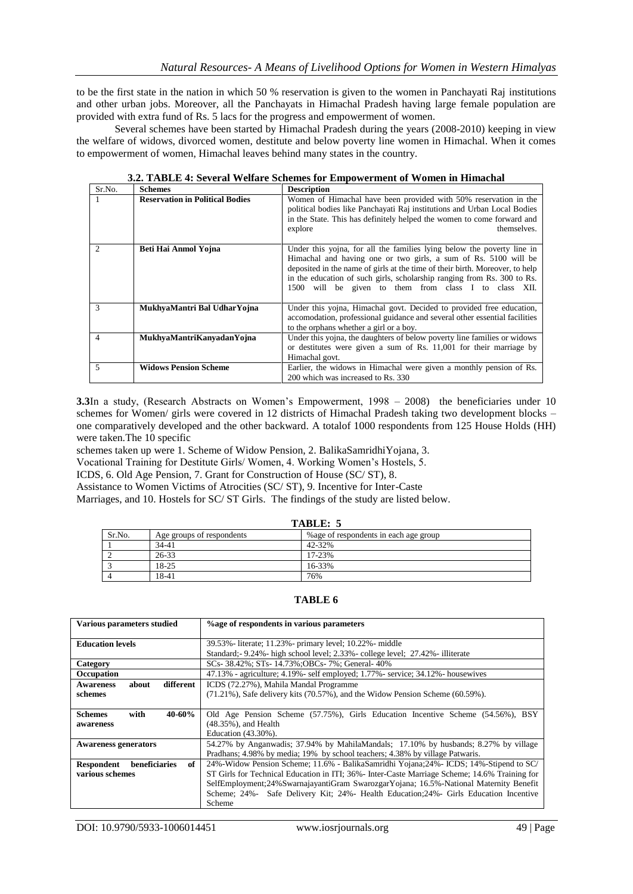to be the first state in the nation in which 50 % reservation is given to the women in Panchayati Raj institutions and other urban jobs. Moreover, all the Panchayats in Himachal Pradesh having large female population are provided with extra fund of Rs. 5 lacs for the progress and empowerment of women.

Several schemes have been started by Himachal Pradesh during the years (2008-2010) keeping in view the welfare of widows, divorced women, destitute and below poverty line women in Himachal. When it comes to empowerment of women, Himachal leaves behind many states in the country.

| Sr.No.                      | <b>Schemes</b>                         | <b>Description</b>                                                                                                                                                                                                                                                                                                                                            |
|-----------------------------|----------------------------------------|---------------------------------------------------------------------------------------------------------------------------------------------------------------------------------------------------------------------------------------------------------------------------------------------------------------------------------------------------------------|
|                             | <b>Reservation in Political Bodies</b> | Women of Himachal have been provided with 50% reservation in the<br>political bodies like Panchayati Raj institutions and Urban Local Bodies<br>in the State. This has definitely helped the women to come forward and<br>explore<br>themselves.                                                                                                              |
| $\mathcal{D}_{\mathcal{L}}$ | Beti Hai Anmol Yojna                   | Under this yojna, for all the families lying below the poverty line in<br>Himachal and having one or two girls, a sum of Rs. 5100 will be<br>deposited in the name of girls at the time of their birth. Moreover, to help<br>in the education of such girls, scholarship ranging from Rs. 300 to Rs.<br>1500 will be given to them from class I to class XII. |
| 3                           | MukhyaMantri Bal UdharYojna            | Under this yojna, Himachal govt. Decided to provided free education,<br>accomodation, professional guidance and several other essential facilities<br>to the orphans whether a girl or a boy.                                                                                                                                                                 |
| 4                           | MukhyaMantriKanyadanYojna              | Under this yojna, the daughters of below poverty line families or widows<br>or destitutes were given a sum of Rs. 11,001 for their marriage by<br>Himachal govt.                                                                                                                                                                                              |
| 5                           | <b>Widows Pension Scheme</b>           | Earlier, the widows in Himachal were given a monthly pension of Rs.<br>200 which was increased to Rs. 330                                                                                                                                                                                                                                                     |

**3.2. TABLE 4: Several Welfare Schemes for Empowerment of Women in Himachal**

**3.3**In a study, (Research Abstracts on Women's Empowerment, 1998 – 2008) the beneficiaries under 10 schemes for Women/ girls were covered in 12 districts of Himachal Pradesh taking two development blocks – one comparatively developed and the other backward. A totalof 1000 respondents from 125 House Holds (HH) were taken.The 10 specific

schemes taken up were 1. Scheme of Widow Pension, 2. BalikaSamridhiYojana, 3.

Vocational Training for Destitute Girls/ Women, 4. Working Women"s Hostels, 5.

ICDS, 6. Old Age Pension, 7. Grant for Construction of House (SC/ ST), 8.

Assistance to Women Victims of Atrocities (SC/ ST), 9. Incentive for Inter-Caste

Marriages, and 10. Hostels for SC/ ST Girls. The findings of the study are listed below.

| TABLE |
|-------|
|-------|

| Sr.No. | Age groups of respondents | % age of respondents in each age group |
|--------|---------------------------|----------------------------------------|
|        | 34-41                     | 42-32%                                 |
|        | 26-33                     | 17-23%                                 |
|        | 18-25                     | 16-33%                                 |
|        | 18-41                     | 76%                                    |

## **TABLE 6**

| Various parameters studied             | % age of respondents in various parameters                                                     |
|----------------------------------------|------------------------------------------------------------------------------------------------|
|                                        |                                                                                                |
| <b>Education levels</b>                | 39.53% - literate; 11.23% - primary level; 10.22% - middle                                     |
|                                        | Standard;- 9.24% - high school level; 2.33% - college level; 27.42% - illiterate               |
| Category                               | SCs- 38.42%; STs- 14.73%; OBCs- 7%; General- 40%                                               |
| Occupation                             | 47.13% - agriculture; 4.19% - self employed; 1.77% - service; 34.12% - housewives              |
| different<br>about<br><b>Awareness</b> | ICDS (72.27%), Mahila Mandal Programme                                                         |
| schemes                                | $(71.21\%)$ , Safe delivery kits $(70.57\%)$ , and the Widow Pension Scheme $(60.59\%)$ .      |
|                                        |                                                                                                |
| with<br>$40 - 60%$<br><b>Schemes</b>   | Old Age Pension Scheme (57.75%), Girls Education Incentive Scheme (54.56%), BSY                |
| awareness                              | (48.35%), and Health                                                                           |
|                                        | Education (43.30%).                                                                            |
| <b>Awareness generators</b>            | 54.27% by Anganwadis; 37.94% by MahilaMandals; 17.10% by husbands; 8.27% by village            |
|                                        | Pradhans; 4.98% by media; 19% by school teachers; 4.38% by village Patwaris.                   |
| Respondent<br>beneficiaries<br>of      | 24%-Widow Pension Scheme; 11.6% - BalikaSamridhi Yojana; 24% - ICDS; 14%-Stipend to SC/        |
| various schemes                        | ST Girls for Technical Education in ITI; 36% - Inter-Caste Marriage Scheme; 14.6% Training for |
|                                        | SelfEmployment; 24% Swarnajayanti Gram Swarozgar Yojana; 16.5% - National Maternity Benefit    |
|                                        | Scheme; 24%- Safe Delivery Kit; 24%- Health Education; 24%- Girls Education Incentive          |
|                                        | Scheme                                                                                         |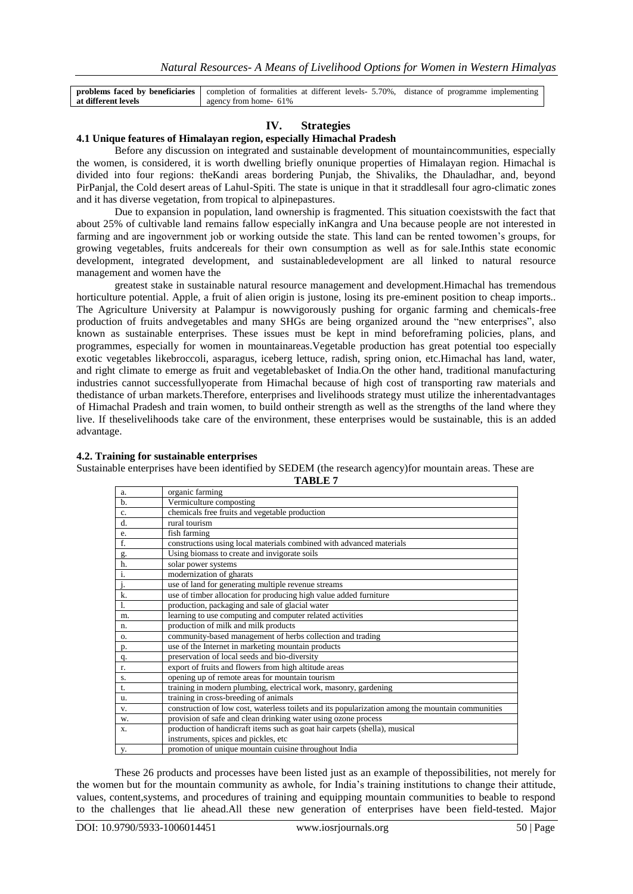|                     | <b>problems faced by beneficiaries</b> completion of formalities at different levels- 5.70%, distance of programme implementing |  |
|---------------------|---------------------------------------------------------------------------------------------------------------------------------|--|
| at different levels | agency from home- 61%                                                                                                           |  |
|                     |                                                                                                                                 |  |

## **IV. Strategies**

#### **4.1 Unique features of Himalayan region, especially Himachal Pradesh**

Before any discussion on integrated and sustainable development of mountaincommunities, especially the women, is considered, it is worth dwelling briefly onunique properties of Himalayan region. Himachal is divided into four regions: theKandi areas bordering Punjab, the Shivaliks, the Dhauladhar, and, beyond PirPanjal, the Cold desert areas of Lahul-Spiti. The state is unique in that it straddlesall four agro-climatic zones and it has diverse vegetation, from tropical to alpinepastures.

Due to expansion in population, land ownership is fragmented. This situation coexistswith the fact that about 25% of cultivable land remains fallow especially inKangra and Una because people are not interested in farming and are ingovernment job or working outside the state. This land can be rented towomen"s groups, for growing vegetables, fruits andcereals for their own consumption as well as for sale.Inthis state economic development, integrated development, and sustainabledevelopment are all linked to natural resource management and women have the

greatest stake in sustainable natural resource management and development.Himachal has tremendous horticulture potential. Apple, a fruit of alien origin is justone, losing its pre-eminent position to cheap imports.. The Agriculture University at Palampur is nowvigorously pushing for organic farming and chemicals-free production of fruits andvegetables and many SHGs are being organized around the "new enterprises", also known as sustainable enterprises. These issues must be kept in mind beforeframing policies, plans, and programmes, especially for women in mountainareas.Vegetable production has great potential too especially exotic vegetables likebroccoli, asparagus, iceberg lettuce, radish, spring onion, etc.Himachal has land, water, and right climate to emerge as fruit and vegetablebasket of India.On the other hand, traditional manufacturing industries cannot successfullyoperate from Himachal because of high cost of transporting raw materials and thedistance of urban markets.Therefore, enterprises and livelihoods strategy must utilize the inherentadvantages of Himachal Pradesh and train women, to build ontheir strength as well as the strengths of the land where they live. If theselivelihoods take care of the environment, these enterprises would be sustainable, this is an added advantage.

#### **4.2. Training for sustainable enterprises**

Sustainable enterprises have been identified by SEDEM (the research agency)for mountain areas. These are **TABLE 7**

| a.             | organic farming                                                                                   |
|----------------|---------------------------------------------------------------------------------------------------|
| $b$            | Vermiculture composting                                                                           |
| c.             | chemicals free fruits and vegetable production                                                    |
| d.             | rural tourism                                                                                     |
| e.             | fish farming                                                                                      |
| f.             | constructions using local materials combined with advanced materials                              |
| g.             | Using biomass to create and invigorate soils                                                      |
| h.             | solar power systems                                                                               |
| i.             | modernization of gharats                                                                          |
| j.             | use of land for generating multiple revenue streams                                               |
| k.             | use of timber allocation for producing high value added furniture                                 |
| $\mathbf{1}$ . | production, packaging and sale of glacial water                                                   |
| m.             | learning to use computing and computer related activities                                         |
| n.             | production of milk and milk products                                                              |
| 0.             | community-based management of herbs collection and trading                                        |
| p.             | use of the Internet in marketing mountain products                                                |
| q.             | preservation of local seeds and bio-diversity                                                     |
| r.             | export of fruits and flowers from high altitude areas                                             |
| S.             | opening up of remote areas for mountain tourism                                                   |
| t.             | training in modern plumbing, electrical work, masonry, gardening                                  |
| u.             | training in cross-breeding of animals                                                             |
| V.             | construction of low cost, waterless toilets and its popularization among the mountain communities |
| w.             | provision of safe and clean drinking water using ozone process                                    |
| X.             | production of handicraft items such as goat hair carpets (shella), musical                        |
|                | instruments, spices and pickles, etc                                                              |
| y.             | promotion of unique mountain cuisine throughout India                                             |

These 26 products and processes have been listed just as an example of thepossibilities, not merely for the women but for the mountain community as awhole, for India"s training institutions to change their attitude, values, content,systems, and procedures of training and equipping mountain communities to beable to respond to the challenges that lie ahead.All these new generation of enterprises have been field-tested. Major